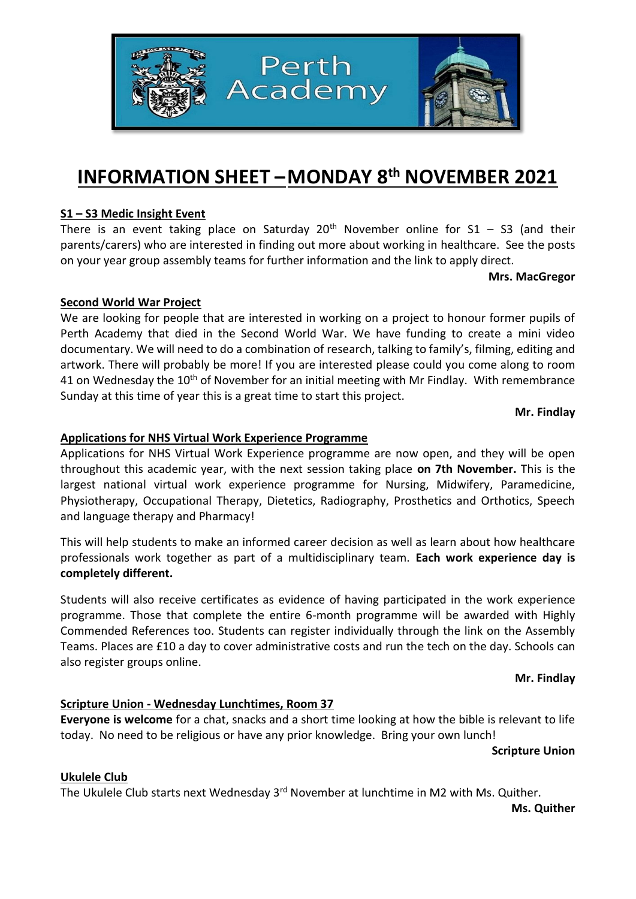

# **INFORMATION SHEET –MONDAY 8 th NOVEMBER 2021**

# **S1 – S3 Medic Insight Event**

There is an event taking place on Saturday  $20<sup>th</sup>$  November online for S1 – S3 (and their parents/carers) who are interested in finding out more about working in healthcare. See the posts on your year group assembly teams for further information and the link to apply direct.

**Mrs. MacGregor**

## **Second World War Project**

We are looking for people that are interested in working on a project to honour former pupils of Perth Academy that died in the Second World War. We have funding to create a mini video documentary. We will need to do a combination of research, talking to family's, filming, editing and artwork. There will probably be more! If you are interested please could you come along to room 41 on Wednesday the 10<sup>th</sup> of November for an initial meeting with Mr Findlay. With remembrance Sunday at this time of year this is a great time to start this project.

**Mr. Findlay**

# **Applications for NHS Virtual Work Experience Programme**

Applications for NHS Virtual Work Experience programme are now open, and they will be open throughout this academic year, with the next session taking place **on 7th November.** This is the largest national virtual work experience programme for Nursing, Midwifery, Paramedicine, Physiotherapy, Occupational Therapy, Dietetics, Radiography, Prosthetics and Orthotics, Speech and language therapy and Pharmacy!

This will help students to make an informed career decision as well as learn about how healthcare professionals work together as part of a multidisciplinary team. **Each work experience day is completely different.**

Students will also receive certificates as evidence of having participated in the work experience programme. Those that complete the entire 6-month programme will be awarded with Highly Commended References too. Students can register individually through the link on the Assembly Teams. Places are £10 a day to cover administrative costs and run the tech on the day. Schools can also register groups online.

#### **Mr. Findlay**

# **Scripture Union - Wednesday Lunchtimes, Room 37**

**Everyone is welcome** for a chat, snacks and a short time looking at how the bible is relevant to life today. No need to be religious or have any prior knowledge. Bring your own lunch!

**Scripture Union**

## **Ukulele Club**

The Ukulele Club starts next Wednesday 3<sup>rd</sup> November at lunchtime in M2 with Ms. Quither.

**Ms. Quither**